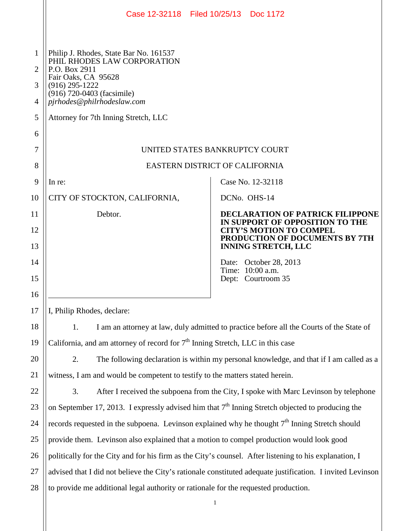|                                  | Case 12-32118 Filed 10/25/13 Doc 1172                                                                                                                                                                                                 |                                                                                                |
|----------------------------------|---------------------------------------------------------------------------------------------------------------------------------------------------------------------------------------------------------------------------------------|------------------------------------------------------------------------------------------------|
| $\mathbf{1}$<br>2<br>3<br>4<br>5 | Philip J. Rhodes, State Bar No. 161537<br>PHIL RHODES LAW CORPORATION<br>P.O. Box 2911<br>Fair Oaks, CA 95628<br>$(916)$ 295-1222<br>(916) 720-0403 (facsimile)<br>pjrhodes@philrhodeslaw.com<br>Attorney for 7th Inning Stretch, LLC |                                                                                                |
| 6                                |                                                                                                                                                                                                                                       |                                                                                                |
| 7                                | UNITED STATES BANKRUPTCY COURT                                                                                                                                                                                                        |                                                                                                |
| 8                                | EASTERN DISTRICT OF CALIFORNIA                                                                                                                                                                                                        |                                                                                                |
| 9                                | In re:                                                                                                                                                                                                                                | Case No. 12-32118                                                                              |
| 10                               | CITY OF STOCKTON, CALIFORNIA,                                                                                                                                                                                                         | DCN <sub>o.</sub> OH <sub>S</sub> -14                                                          |
| 11                               | Debtor.                                                                                                                                                                                                                               | <b>DECLARATION OF PATRICK FILIPPONE</b><br>IN SUPPORT OF OPPOSITION TO THE                     |
| 12<br>13                         |                                                                                                                                                                                                                                       | <b>CITY'S MOTION TO COMPEL</b><br>PRODUCTION OF DOCUMENTS BY 7TH<br><b>INNING STRETCH, LLC</b> |
| 14<br>15                         |                                                                                                                                                                                                                                       | Date: October 28, 2013<br>Time: 10:00 a.m.<br>Dept: Courtroom 35                               |
| 16<br>17                         | I, Philip Rhodes, declare:                                                                                                                                                                                                            |                                                                                                |
| 18                               | I am an attorney at law, duly admitted to practice before all the Courts of the State of<br>1.                                                                                                                                        |                                                                                                |
| 19                               | California, and am attorney of record for 7 <sup>th</sup> Inning Stretch, LLC in this case                                                                                                                                            |                                                                                                |
| 20                               | 2.<br>The following declaration is within my personal knowledge, and that if I am called as a                                                                                                                                         |                                                                                                |
| 21                               | witness, I am and would be competent to testify to the matters stated herein.                                                                                                                                                         |                                                                                                |
| 22                               | 3.<br>After I received the subpoena from the City, I spoke with Marc Levinson by telephone                                                                                                                                            |                                                                                                |
| 23                               | on September 17, 2013. I expressly advised him that $7th$ Inning Stretch objected to producing the                                                                                                                                    |                                                                                                |
| 24                               | records requested in the subpoena. Levinson explained why he thought $7th$ Inning Stretch should                                                                                                                                      |                                                                                                |
| 25                               | provide them. Levinson also explained that a motion to compel production would look good                                                                                                                                              |                                                                                                |
| 26                               | politically for the City and for his firm as the City's counsel. After listening to his explanation, I                                                                                                                                |                                                                                                |
| 27                               | advised that I did not believe the City's rationale constituted adequate justification. I invited Levinson                                                                                                                            |                                                                                                |
| 28                               | to provide me additional legal authority or rationale for the requested production.                                                                                                                                                   |                                                                                                |
|                                  | $\mathbf{1}$                                                                                                                                                                                                                          |                                                                                                |